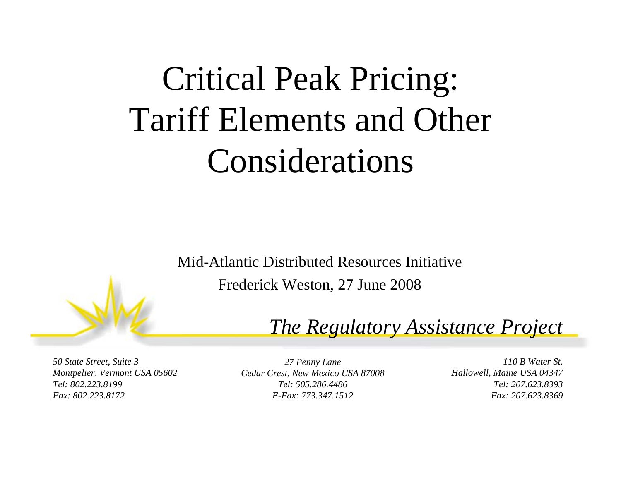# Critical Peak Pricing: Tariff Elements and Other Considerations

Mid-Atlantic Distributed Resources InitiativeFrederick Weston, 27 June 2008

#### *The Regulatory Assistance Project*

*50 State Street, Suite 3 Montpelier, Vermont USA 05602 Tel: 802.223.8199Fax: 802.223.8172*

*27 Penny Lane Cedar Crest, New Mexico USA 87008 Tel: 505.286.4486E-Fax: 773.347.1512*

*110 B Water St.Hallowell, Maine USA 04347 Tel: 207.623.8393Fax: 207.623.8369*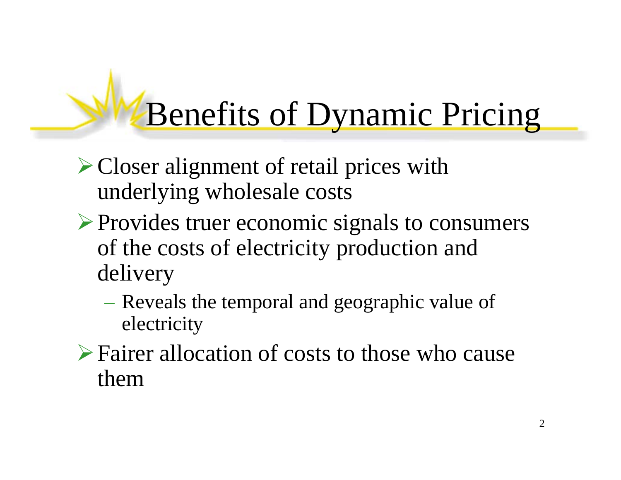# Benefits of Dynamic Pricing

- ¾Closer alignment of retail prices with underlying wholesale costs
- ¾Provides truer economic signals to consumers of the costs of electricity production and delivery
	- Reveals the temporal and geographic value of electricity
- ¾Fairer allocation of costs to those who cause them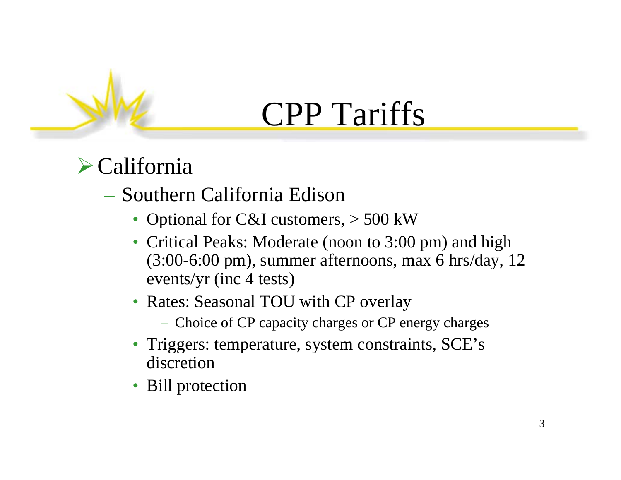## $\triangleright$  California

### – Southern California Edison

- Optional for C&I customers,  $> 500$  kW
- Critical Peaks: Moderate (noon to 3:00 pm) and high (3:00-6:00 pm), summer afternoons, max 6 hrs/day, 12 events/yr (inc 4 tests)
- Rates: Seasonal TOU with CP overlay
	- Choice of CP capacity charges or CP energy charges
- Triggers: temperature, system constraints, SCE's discretion
- Bill protection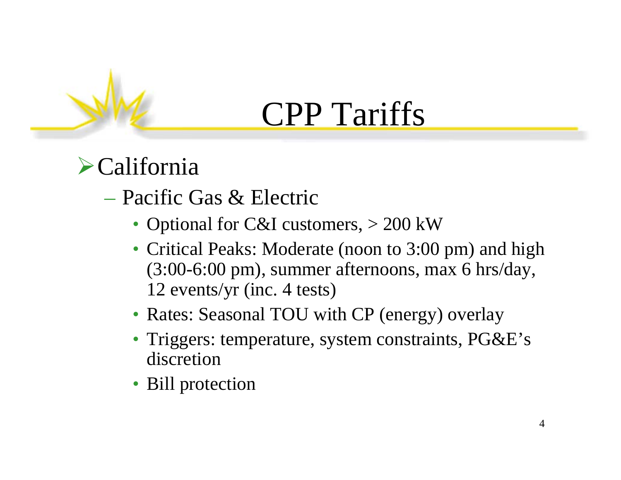## $\blacktriangleright$ California

- Pacific Gas & Electric
	- Optional for C&I customers, > 200 kW
	- Critical Peaks: Moderate (noon to 3:00 pm) and high (3:00-6:00 pm), summer afternoons, max 6 hrs/day, 12 events/yr (inc. 4 tests)
	- Rates: Seasonal TOU with CP (energy) overlay
	- Triggers: temperature, system constraints, PG&E's discretion
	- Bill protection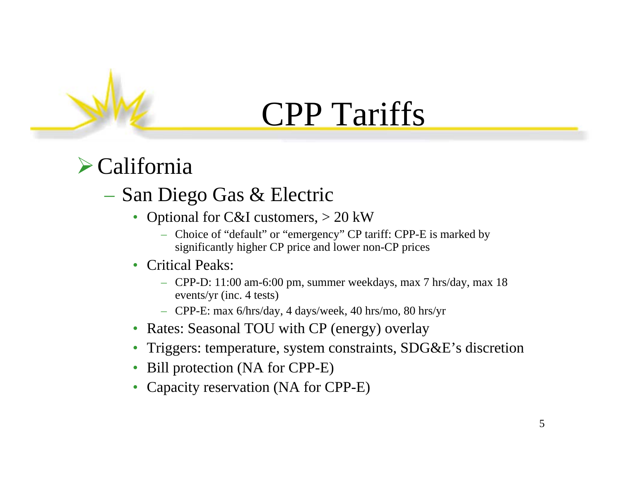### $\blacktriangleright$  California

### – San Diego Gas & Electric

- Optional for C&I customers,  $> 20$  kW
	- Choice of "default" or "emergency" CP tariff: CPP-E is marked by significantly higher CP price and lower non-CP prices
- Critical Peaks:
	- CPP-D: 11:00 am-6:00 pm, summer weekdays, max 7 hrs/day, max 18 events/yr (inc. 4 tests)
	- CPP-E: max 6/hrs/day, 4 days/week, 40 hrs/mo, 80 hrs/yr
- Rates: Seasonal TOU with CP (energy) overlay
- Triggers: temperature, system constraints, SDG&E's discretion
- Bill protection (NA for CPP-E)
- Capacity reservation (NA for CPP-E)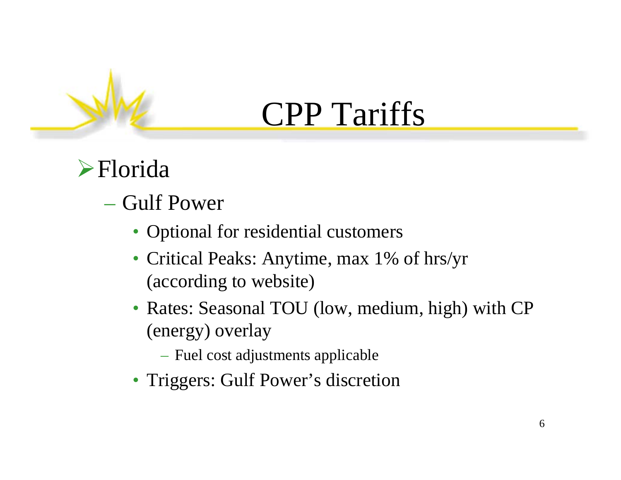## ¾Florida

### – Gulf Power

- Optional for residential customers
- Critical Peaks: Anytime, max 1% of hrs/yr (according to website)
- Rates: Seasonal TOU (low, medium, high) with CP (energy) overlay
	- Fuel cost adjustments applicable
- Triggers: Gulf Power's discretion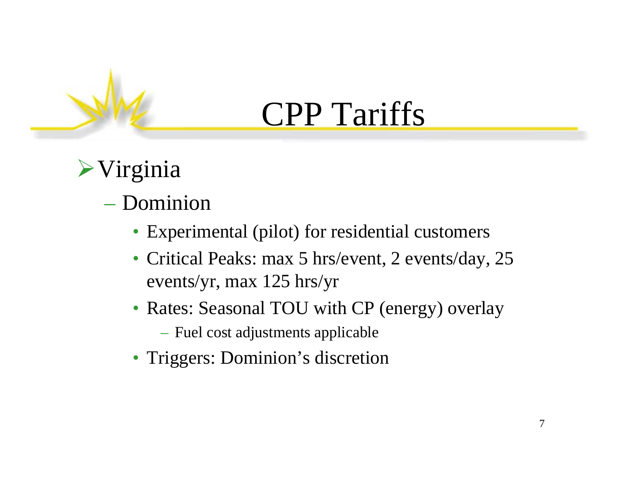## $\triangleright$ Virginia

### – Dominion

- Experimental (pilot) for residential customers
- Critical Peaks: max 5 hrs/event, 2 events/day, 25 events/yr, max 125 hrs/yr
- Rates: Seasonal TOU with CP (energy) overlay
	- Fuel cost adjustments applicable
- Triggers: Dominion's discretion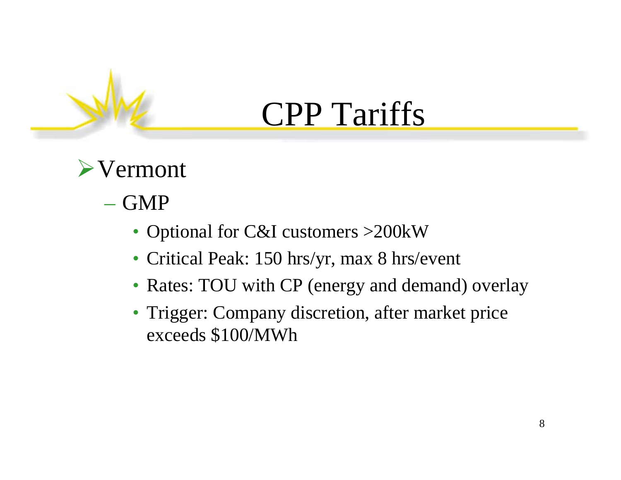## $\triangleright$  Vermont

### – GMP

- Optional for C&I customers > 200 kW
- Critical Peak: 150 hrs/yr, max 8 hrs/event
- Rates: TOU with CP (energy and demand) overlay
- Trigger: Company discretion, after market price exceeds \$100/MWh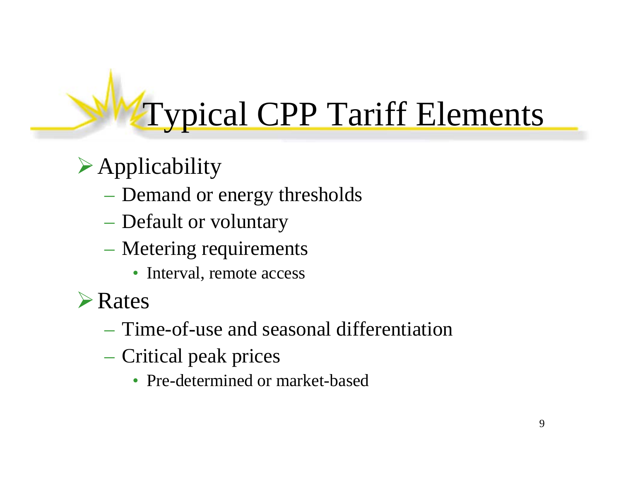# Typical CPP Tariff Elements

## $\triangleright$  Applicability

- Demand or energy thresholds
- Default or voluntary
- Metering requirements
	- Interval, remote access
- ¾Rates
	- Time-of-use and seasonal differentiation
	- Critical peak prices
		- Pre-determined or market-based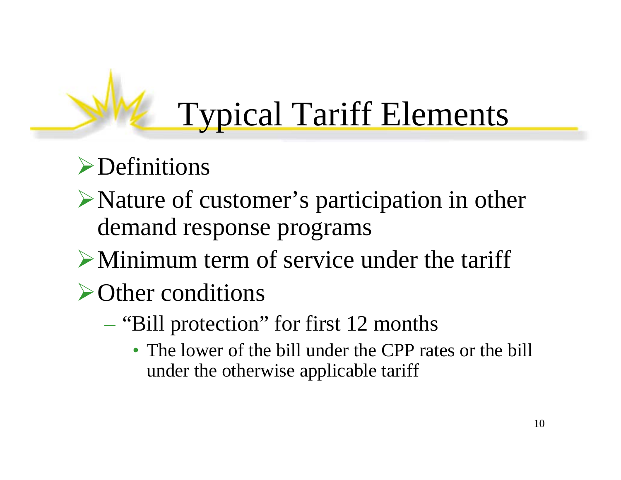# Typical Tariff Elements

## $\blacktriangleright$  Definitions

- ¾Nature of customer's participation in other demand response programs
- $\triangleright$  Minimum term of service under the tariff

## ¾Other conditions

- "Bill protection" for first 12 months
	- The lower of the bill under the CPP rates or the bill under the otherwise applicable tariff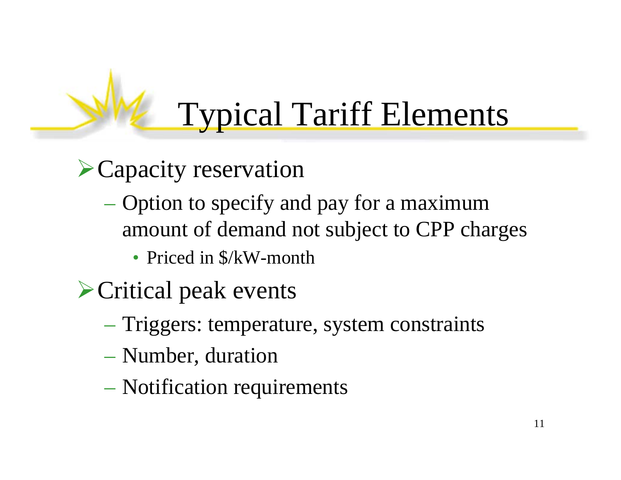# Typical Tariff Elements

## ¾Capacity reservation

- Option to specify and pay for a maximum amount of demand not subject to CPP charges
	- Priced in  $\frac{S}{K}W$ -month
- ¾Critical peak events
	- Triggers: temperature, system constraints
	- Number, duration
	- Notification requirements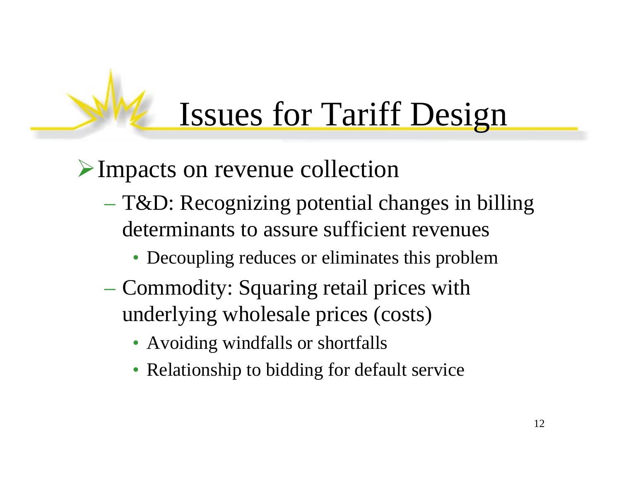# Issues for Tariff Design

¾Impacts on revenue collection

- T&D: Recognizing potential changes in billing determinants to assure sufficient revenues
	- Decoupling reduces or eliminates this problem
- Commodity: Squaring retail prices with underlying wholesale prices (costs)
	- Avoiding windfalls or shortfalls
	- Relationship to bidding for default service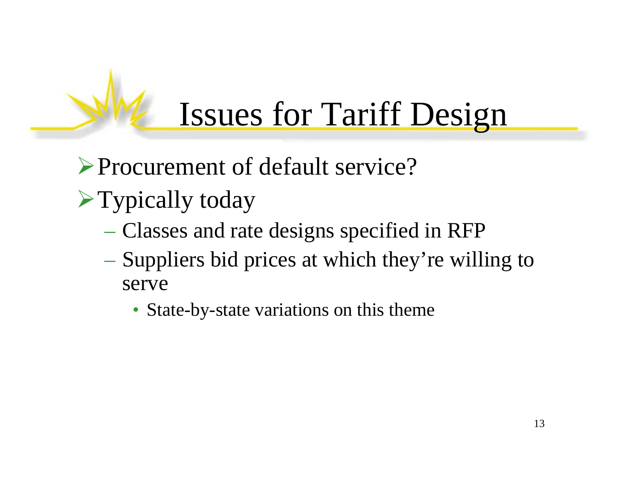## Issues for Tariff Design

¾Procurement of default service?

- $\blacktriangleright$  Typically today
	- Classes and rate designs specified in RFP
	- Suppliers bid prices at which they're willing to serve
		- State-by-state variations on this theme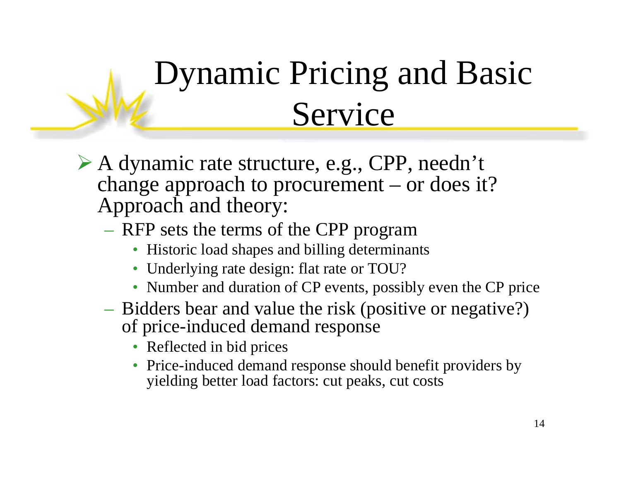# Dynamic Pricing and Basic Service

- ¾ A dynamic rate structure, e.g., CPP, needn't change approach to procurement – or does it? Approach and theory:
	- RFP sets the terms of the CPP program
		- Historic load shapes and billing determinants
		- Underlying rate design: flat rate or TOU?
		- Number and duration of CP events, possibly even the CP price
	- Bidders bear and value the risk (positive or negative?) of price-induced demand response
		- Reflected in bid prices
		- Price-induced demand response should benefit providers by yielding better load factors: cut peaks, cut costs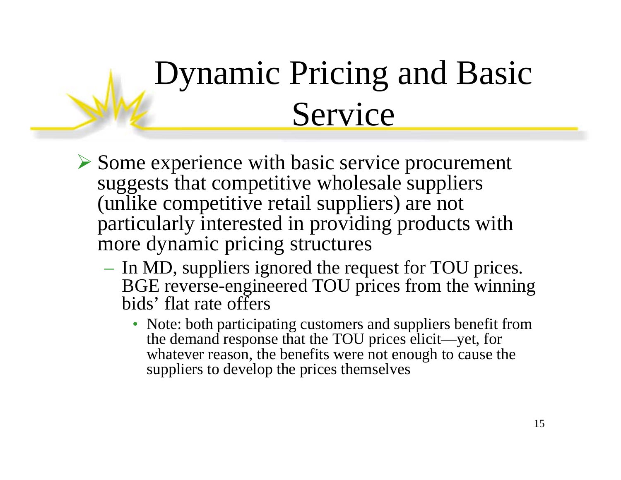# Dynamic Pricing and Basic Service

- ¾ Some experience with basic service procurement suggests that competitive wholesale suppliers (unlike competitive retail suppliers) are not particularly interested in providing products with more dynamic pricing structures
	- In MD, suppliers ignored the request for TOU prices. BGE reverse-engineered TOU prices from the winning bids' flat rate offers
		- Note: both participating customers and suppliers benefit from the demand response that the TOU prices elicit—yet, for whatever reason, the benefits were not enough to cause the suppliers to develop the prices themselves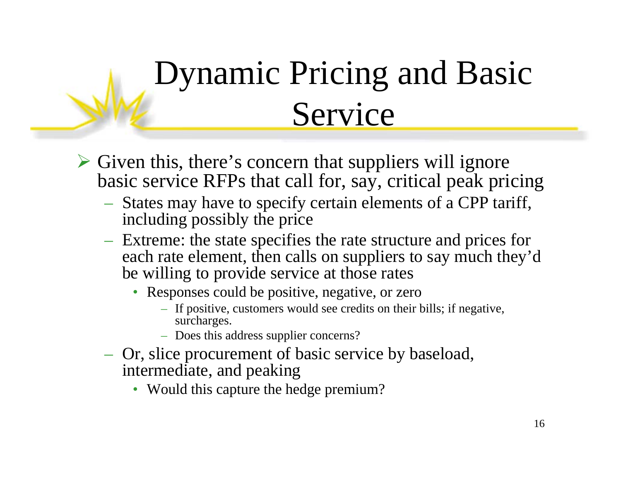# Dynamic Pricing and Basic Service

- ¾ Given this, there's concern that suppliers will ignore basic service RFPs that call for, say, critical peak pricing
	- States may have to specify certain elements of a CPP tariff, including possibly the price
	- Extreme: the state specifies the rate structure and prices for each rate element, then calls on suppliers to say much they'd be willing to provide service at those rates
		- Responses could be positive, negative, or zero
			- If positive, customers would see credits on their bills; if negative, surcharges.
			- Does this address supplier concerns?
	- Or, slice procurement of basic service by baseload, intermediate, and peaking
		- Would this capture the hedge premium?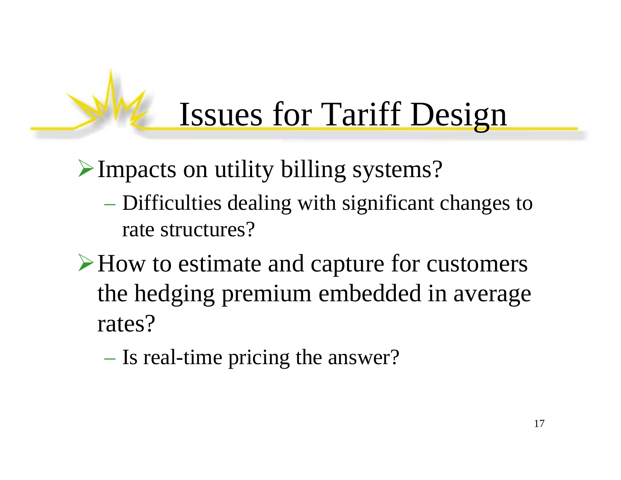# Issues for Tariff Design

¾Impacts on utility billing systems?

- Difficulties dealing with significant changes to rate structures?
- ¾How to estimate and capture for customers the hedging premium embedded in average rates?

– Is real-time pricing the answer?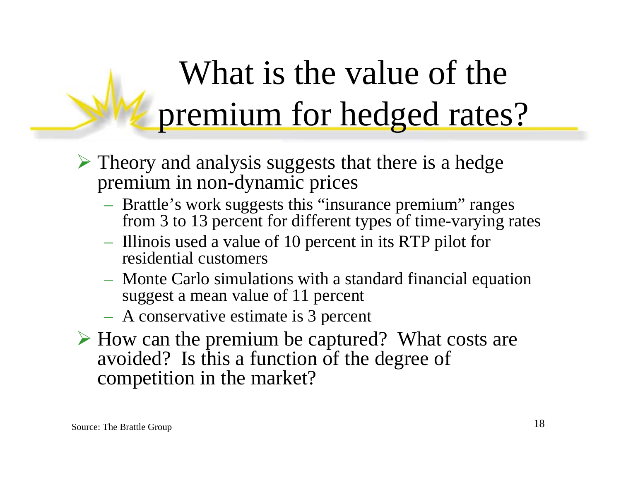# What is the value of the premium for hedged rates?

- $\triangleright$  Theory and analysis suggests that there is a hedge premium in non-dynamic prices
	- Brattle's work suggests this "insurance premium" ranges from 3 to 13 percent for different types of time-varying rates
	- Illinois used a value of 10 percent in its RTP pilot for residential customers
	- Monte Carlo simulations with a standard financial equation suggest a mean value of 11 percent
	- A conservative estimate is 3 percent
- ¾ How can the premium be captured? What costs are avoided? Is this a function of the degree of competition in the market?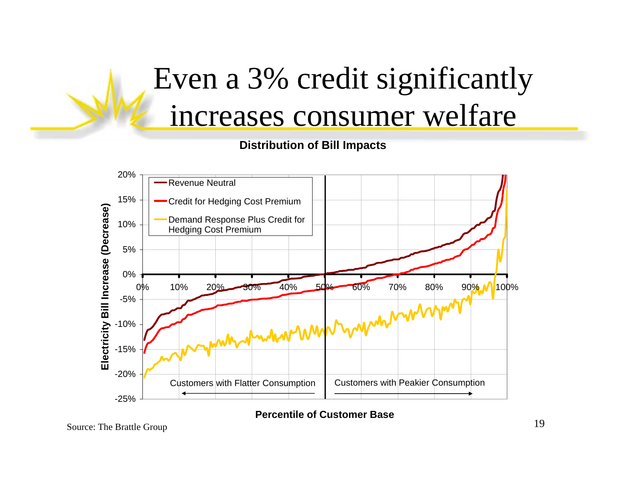## Even a 3% credit significantly increases consumer welfare

#### **Distribution of Bill Impacts**



**Percentile of Customer Base**